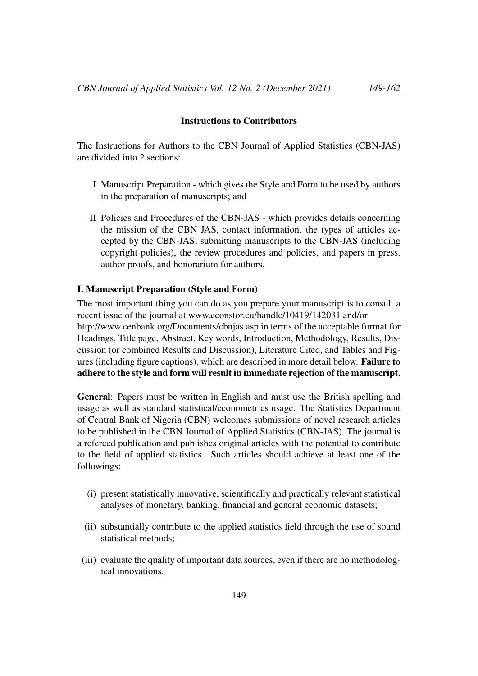#### Instructions to Contributors

The Instructions for Authors to the CBN Journal of Applied Statistics (CBN-JAS) are divided into 2 sections:

- I Manuscript Preparation which gives the Style and Form to be used by authors in the preparation of manuscripts; and
- II Policies and Procedures of the CBN-JAS which provides details concerning the mission of the CBN JAS, contact information, the types of articles accepted by the CBN-JAS, submitting manuscripts to the CBN-JAS (including copyright policies), the review procedures and policies, and papers in press, author proofs, and honorarium for authors.

## I. Manuscript Preparation (Style and Form)

The most important thing you can do as you prepare your manuscript is to consult a recent issue of the journal at www.econstor.eu/handle/10419/142031 and/or http://www.cenbank.org/Documents/cbnjas.asp in terms of the acceptable format for Headings, Title page, Abstract, Key words, Introduction, Methodology, Results, Discussion (or combined Results and Discussion), Literature Cited, and Tables and Figures (including figure captions), which are described in more detail below. Failure to adhere to the style and form will result in immediate rejection of the manuscript.

General: Papers must be written in English and must use the British spelling and usage as well as standard statistical/econometrics usage. The Statistics Department of Central Bank of Nigeria (CBN) welcomes submissions of novel research articles to be published in the CBN Journal of Applied Statistics (CBN-JAS). The journal is a refereed publication and publishes original articles with the potential to contribute to the field of applied statistics. Such articles should achieve at least one of the followings:

- (i) present statistically innovative, scientifically and practically relevant statistical analyses of monetary, banking, financial and general economic datasets;
- (ii) substantially contribute to the applied statistics field through the use of sound statistical methods;
- (iii) evaluate the quality of important data sources, even if there are no methodological innovations.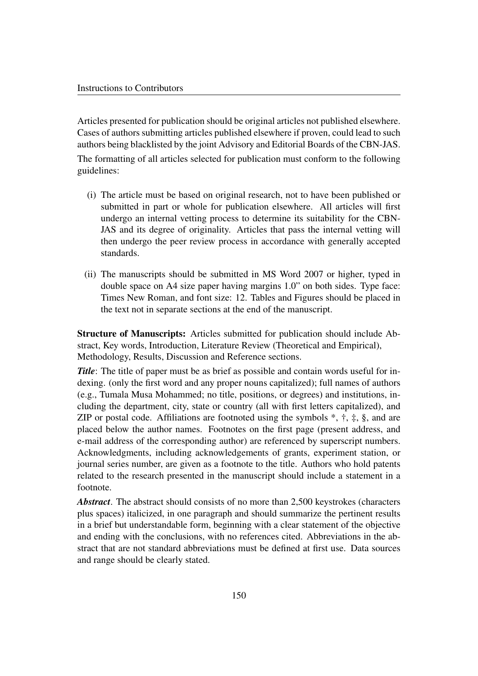Articles presented for publication should be original articles not published elsewhere. Cases of authors submitting articles published elsewhere if proven, could lead to such authors being blacklisted by the joint Advisory and Editorial Boards of the CBN-JAS.

The formatting of all articles selected for publication must conform to the following guidelines:

- (i) The article must be based on original research, not to have been published or submitted in part or whole for publication elsewhere. All articles will first undergo an internal vetting process to determine its suitability for the CBN-JAS and its degree of originality. Articles that pass the internal vetting will then undergo the peer review process in accordance with generally accepted standards.
- (ii) The manuscripts should be submitted in MS Word 2007 or higher, typed in double space on A4 size paper having margins 1.0" on both sides. Type face: Times New Roman, and font size: 12. Tables and Figures should be placed in the text not in separate sections at the end of the manuscript.

Structure of Manuscripts: Articles submitted for publication should include Abstract, Key words, Introduction, Literature Review (Theoretical and Empirical), Methodology, Results, Discussion and Reference sections.

*Title*: The title of paper must be as brief as possible and contain words useful for indexing. (only the first word and any proper nouns capitalized); full names of authors (e.g., Tumala Musa Mohammed; no title, positions, or degrees) and institutions, including the department, city, state or country (all with first letters capitalized), and ZIP or postal code. Affiliations are footnoted using the symbols  $*, \dagger, \ddagger, \S$ , and are placed below the author names. Footnotes on the first page (present address, and e-mail address of the corresponding author) are referenced by superscript numbers. Acknowledgments, including acknowledgements of grants, experiment station, or journal series number, are given as a footnote to the title. Authors who hold patents related to the research presented in the manuscript should include a statement in a footnote.

*Abstract*. The abstract should consists of no more than 2,500 keystrokes (characters plus spaces) italicized, in one paragraph and should summarize the pertinent results in a brief but understandable form, beginning with a clear statement of the objective and ending with the conclusions, with no references cited. Abbreviations in the abstract that are not standard abbreviations must be defined at first use. Data sources and range should be clearly stated.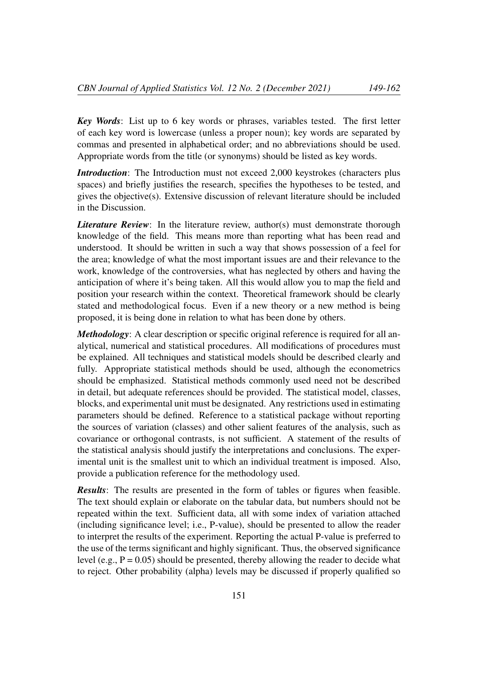*Key Words*: List up to 6 key words or phrases, variables tested. The first letter of each key word is lowercase (unless a proper noun); key words are separated by commas and presented in alphabetical order; and no abbreviations should be used. Appropriate words from the title (or synonyms) should be listed as key words.

*Introduction*: The Introduction must not exceed 2,000 keystrokes (characters plus spaces) and briefly justifies the research, specifies the hypotheses to be tested, and gives the objective(s). Extensive discussion of relevant literature should be included in the Discussion.

*Literature Review*: In the literature review, author(s) must demonstrate thorough knowledge of the field. This means more than reporting what has been read and understood. It should be written in such a way that shows possession of a feel for the area; knowledge of what the most important issues are and their relevance to the work, knowledge of the controversies, what has neglected by others and having the anticipation of where it's being taken. All this would allow you to map the field and position your research within the context. Theoretical framework should be clearly stated and methodological focus. Even if a new theory or a new method is being proposed, it is being done in relation to what has been done by others.

*Methodology*: A clear description or specific original reference is required for all analytical, numerical and statistical procedures. All modifications of procedures must be explained. All techniques and statistical models should be described clearly and fully. Appropriate statistical methods should be used, although the econometrics should be emphasized. Statistical methods commonly used need not be described in detail, but adequate references should be provided. The statistical model, classes, blocks, and experimental unit must be designated. Any restrictions used in estimating parameters should be defined. Reference to a statistical package without reporting the sources of variation (classes) and other salient features of the analysis, such as covariance or orthogonal contrasts, is not sufficient. A statement of the results of the statistical analysis should justify the interpretations and conclusions. The experimental unit is the smallest unit to which an individual treatment is imposed. Also, provide a publication reference for the methodology used.

*Results*: The results are presented in the form of tables or figures when feasible. The text should explain or elaborate on the tabular data, but numbers should not be repeated within the text. Sufficient data, all with some index of variation attached (including significance level; i.e., P-value), should be presented to allow the reader to interpret the results of the experiment. Reporting the actual P-value is preferred to the use of the terms significant and highly significant. Thus, the observed significance level (e.g.,  $P = 0.05$ ) should be presented, thereby allowing the reader to decide what to reject. Other probability (alpha) levels may be discussed if properly qualified so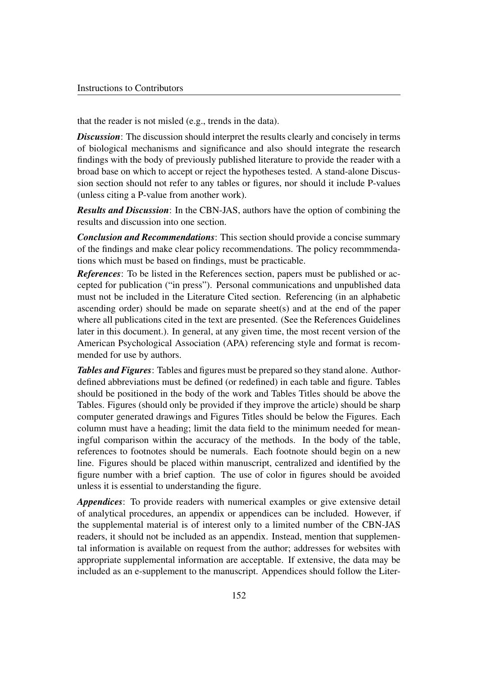that the reader is not misled (e.g., trends in the data).

*Discussion*: The discussion should interpret the results clearly and concisely in terms of biological mechanisms and significance and also should integrate the research findings with the body of previously published literature to provide the reader with a broad base on which to accept or reject the hypotheses tested. A stand-alone Discussion section should not refer to any tables or figures, nor should it include P-values (unless citing a P-value from another work).

*Results and Discussion*: In the CBN-JAS, authors have the option of combining the results and discussion into one section.

*Conclusion and Recommendations*: This section should provide a concise summary of the findings and make clear policy recommendations. The policy recommmendations which must be based on findings, must be practicable.

*References*: To be listed in the References section, papers must be published or accepted for publication ("in press"). Personal communications and unpublished data must not be included in the Literature Cited section. Referencing (in an alphabetic ascending order) should be made on separate sheet(s) and at the end of the paper where all publications cited in the text are presented. (See the References Guidelines later in this document.). In general, at any given time, the most recent version of the American Psychological Association (APA) referencing style and format is recommended for use by authors.

*Tables and Figures*: Tables and figures must be prepared so they stand alone. Authordefined abbreviations must be defined (or redefined) in each table and figure. Tables should be positioned in the body of the work and Tables Titles should be above the Tables. Figures (should only be provided if they improve the article) should be sharp computer generated drawings and Figures Titles should be below the Figures. Each column must have a heading; limit the data field to the minimum needed for meaningful comparison within the accuracy of the methods. In the body of the table, references to footnotes should be numerals. Each footnote should begin on a new line. Figures should be placed within manuscript, centralized and identified by the figure number with a brief caption. The use of color in figures should be avoided unless it is essential to understanding the figure.

*Appendices*: To provide readers with numerical examples or give extensive detail of analytical procedures, an appendix or appendices can be included. However, if the supplemental material is of interest only to a limited number of the CBN-JAS readers, it should not be included as an appendix. Instead, mention that supplemental information is available on request from the author; addresses for websites with appropriate supplemental information are acceptable. If extensive, the data may be included as an e-supplement to the manuscript. Appendices should follow the Liter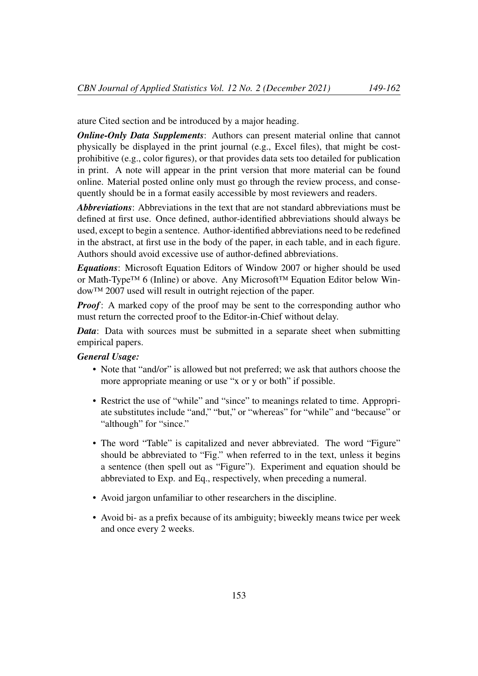ature Cited section and be introduced by a major heading.

*Online-Only Data Supplements*: Authors can present material online that cannot physically be displayed in the print journal (e.g., Excel files), that might be costprohibitive (e.g., color figures), or that provides data sets too detailed for publication in print. A note will appear in the print version that more material can be found online. Material posted online only must go through the review process, and consequently should be in a format easily accessible by most reviewers and readers.

*Abbreviations*: Abbreviations in the text that are not standard abbreviations must be defined at first use. Once defined, author-identified abbreviations should always be used, except to begin a sentence. Author-identified abbreviations need to be redefined in the abstract, at first use in the body of the paper, in each table, and in each figure. Authors should avoid excessive use of author-defined abbreviations.

*Equations*: Microsoft Equation Editors of Window 2007 or higher should be used or Math-Type™ 6 (Inline) or above. Any Microsoft™ Equation Editor below Window™ 2007 used will result in outright rejection of the paper.

*Proof*: A marked copy of the proof may be sent to the corresponding author who must return the corrected proof to the Editor-in-Chief without delay.

*Data*: Data with sources must be submitted in a separate sheet when submitting empirical papers.

## *General Usage:*

- Note that "and/or" is allowed but not preferred; we ask that authors choose the more appropriate meaning or use "x or y or both" if possible.
- Restrict the use of "while" and "since" to meanings related to time. Appropriate substitutes include "and," "but," or "whereas" for "while" and "because" or "although" for "since."
- The word "Table" is capitalized and never abbreviated. The word "Figure" should be abbreviated to "Fig." when referred to in the text, unless it begins a sentence (then spell out as "Figure"). Experiment and equation should be abbreviated to Exp. and Eq., respectively, when preceding a numeral.
- Avoid jargon unfamiliar to other researchers in the discipline.
- Avoid bi- as a prefix because of its ambiguity; biweekly means twice per week and once every 2 weeks.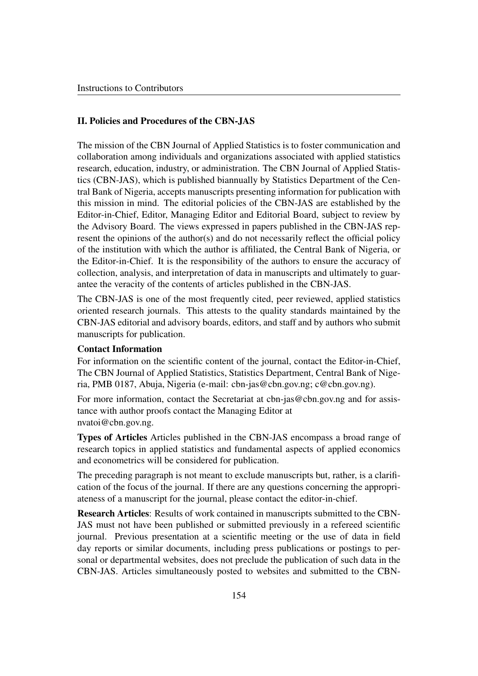## II. Policies and Procedures of the CBN-JAS

The mission of the CBN Journal of Applied Statistics is to foster communication and collaboration among individuals and organizations associated with applied statistics research, education, industry, or administration. The CBN Journal of Applied Statistics (CBN-JAS), which is published biannually by Statistics Department of the Central Bank of Nigeria, accepts manuscripts presenting information for publication with this mission in mind. The editorial policies of the CBN-JAS are established by the Editor-in-Chief, Editor, Managing Editor and Editorial Board, subject to review by the Advisory Board. The views expressed in papers published in the CBN-JAS represent the opinions of the author(s) and do not necessarily reflect the official policy of the institution with which the author is affiliated, the Central Bank of Nigeria, or the Editor-in-Chief. It is the responsibility of the authors to ensure the accuracy of collection, analysis, and interpretation of data in manuscripts and ultimately to guarantee the veracity of the contents of articles published in the CBN-JAS.

The CBN-JAS is one of the most frequently cited, peer reviewed, applied statistics oriented research journals. This attests to the quality standards maintained by the CBN-JAS editorial and advisory boards, editors, and staff and by authors who submit manuscripts for publication.

#### Contact Information

For information on the scientific content of the journal, contact the Editor-in-Chief, The CBN Journal of Applied Statistics, Statistics Department, Central Bank of Nigeria, PMB 0187, Abuja, Nigeria (e-mail: cbn-jas@cbn.gov.ng; c@cbn.gov.ng).

For more information, contact the Secretariat at cbn-jas@cbn.gov.ng and for assistance with author proofs contact the Managing Editor at nvatoi@cbn.gov.ng.

Types of Articles Articles published in the CBN-JAS encompass a broad range of research topics in applied statistics and fundamental aspects of applied economics and econometrics will be considered for publication.

The preceding paragraph is not meant to exclude manuscripts but, rather, is a clarification of the focus of the journal. If there are any questions concerning the appropriateness of a manuscript for the journal, please contact the editor-in-chief.

Research Articles: Results of work contained in manuscripts submitted to the CBN-JAS must not have been published or submitted previously in a refereed scientific journal. Previous presentation at a scientific meeting or the use of data in field day reports or similar documents, including press publications or postings to personal or departmental websites, does not preclude the publication of such data in the CBN-JAS. Articles simultaneously posted to websites and submitted to the CBN-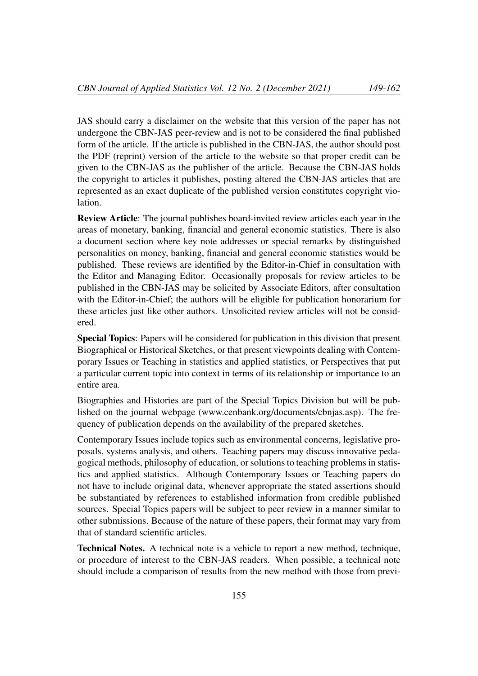JAS should carry a disclaimer on the website that this version of the paper has not undergone the CBN-JAS peer-review and is not to be considered the final published form of the article. If the article is published in the CBN-JAS, the author should post the PDF (reprint) version of the article to the website so that proper credit can be given to the CBN-JAS as the publisher of the article. Because the CBN-JAS holds the copyright to articles it publishes, posting altered the CBN-JAS articles that are represented as an exact duplicate of the published version constitutes copyright violation.

Review Article: The journal publishes board-invited review articles each year in the areas of monetary, banking, financial and general economic statistics. There is also a document section where key note addresses or special remarks by distinguished personalities on money, banking, financial and general economic statistics would be published. These reviews are identified by the Editor-in-Chief in consultation with the Editor and Managing Editor. Occasionally proposals for review articles to be published in the CBN-JAS may be solicited by Associate Editors, after consultation with the Editor-in-Chief; the authors will be eligible for publication honorarium for these articles just like other authors. Unsolicited review articles will not be considered.

Special Topics: Papers will be considered for publication in this division that present Biographical or Historical Sketches, or that present viewpoints dealing with Contemporary Issues or Teaching in statistics and applied statistics, or Perspectives that put a particular current topic into context in terms of its relationship or importance to an entire area.

Biographies and Histories are part of the Special Topics Division but will be published on the journal webpage (www.cenbank.org/documents/cbnjas.asp). The frequency of publication depends on the availability of the prepared sketches.

Contemporary Issues include topics such as environmental concerns, legislative proposals, systems analysis, and others. Teaching papers may discuss innovative pedagogical methods, philosophy of education, or solutions to teaching problems in statistics and applied statistics. Although Contemporary Issues or Teaching papers do not have to include original data, whenever appropriate the stated assertions should be substantiated by references to established information from credible published sources. Special Topics papers will be subject to peer review in a manner similar to other submissions. Because of the nature of these papers, their format may vary from that of standard scientific articles.

Technical Notes. A technical note is a vehicle to report a new method, technique, or procedure of interest to the CBN-JAS readers. When possible, a technical note should include a comparison of results from the new method with those from previ-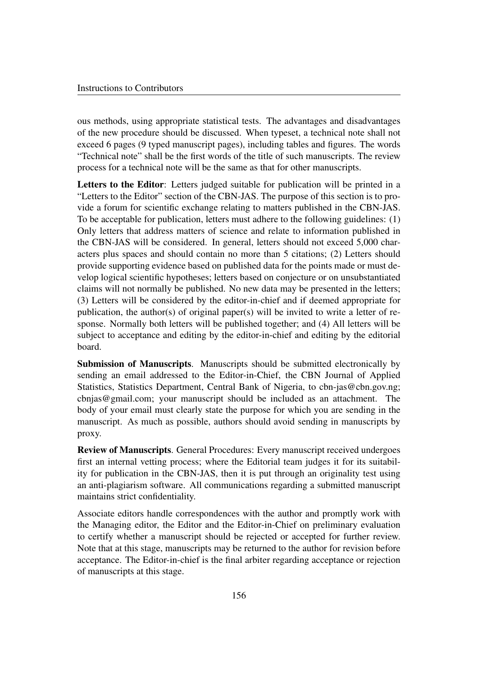ous methods, using appropriate statistical tests. The advantages and disadvantages of the new procedure should be discussed. When typeset, a technical note shall not exceed 6 pages (9 typed manuscript pages), including tables and figures. The words "Technical note" shall be the first words of the title of such manuscripts. The review process for a technical note will be the same as that for other manuscripts.

Letters to the Editor: Letters judged suitable for publication will be printed in a "Letters to the Editor" section of the CBN-JAS. The purpose of this section is to provide a forum for scientific exchange relating to matters published in the CBN-JAS. To be acceptable for publication, letters must adhere to the following guidelines: (1) Only letters that address matters of science and relate to information published in the CBN-JAS will be considered. In general, letters should not exceed 5,000 characters plus spaces and should contain no more than 5 citations; (2) Letters should provide supporting evidence based on published data for the points made or must develop logical scientific hypotheses; letters based on conjecture or on unsubstantiated claims will not normally be published. No new data may be presented in the letters; (3) Letters will be considered by the editor-in-chief and if deemed appropriate for publication, the author(s) of original paper(s) will be invited to write a letter of response. Normally both letters will be published together; and (4) All letters will be subject to acceptance and editing by the editor-in-chief and editing by the editorial board.

Submission of Manuscripts. Manuscripts should be submitted electronically by sending an email addressed to the Editor-in-Chief, the CBN Journal of Applied Statistics, Statistics Department, Central Bank of Nigeria, to cbn-jas@cbn.gov.ng; cbnjas@gmail.com; your manuscript should be included as an attachment. The body of your email must clearly state the purpose for which you are sending in the manuscript. As much as possible, authors should avoid sending in manuscripts by proxy.

Review of Manuscripts. General Procedures: Every manuscript received undergoes first an internal vetting process; where the Editorial team judges it for its suitability for publication in the CBN-JAS, then it is put through an originality test using an anti-plagiarism software. All communications regarding a submitted manuscript maintains strict confidentiality.

Associate editors handle correspondences with the author and promptly work with the Managing editor, the Editor and the Editor-in-Chief on preliminary evaluation to certify whether a manuscript should be rejected or accepted for further review. Note that at this stage, manuscripts may be returned to the author for revision before acceptance. The Editor-in-chief is the final arbiter regarding acceptance or rejection of manuscripts at this stage.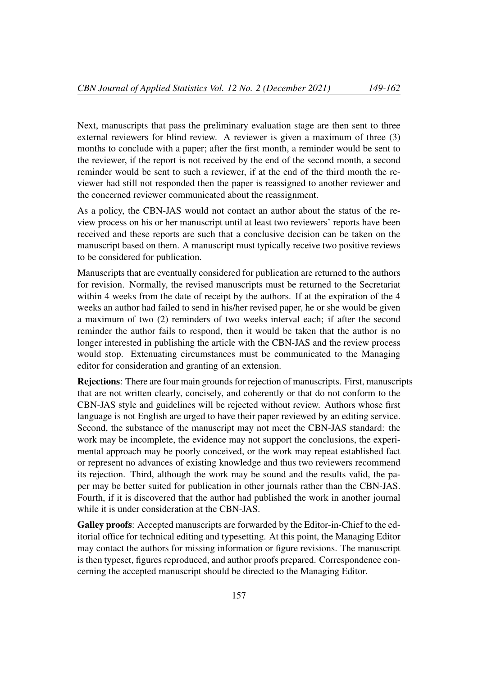Next, manuscripts that pass the preliminary evaluation stage are then sent to three external reviewers for blind review. A reviewer is given a maximum of three (3) months to conclude with a paper; after the first month, a reminder would be sent to the reviewer, if the report is not received by the end of the second month, a second reminder would be sent to such a reviewer, if at the end of the third month the reviewer had still not responded then the paper is reassigned to another reviewer and the concerned reviewer communicated about the reassignment.

As a policy, the CBN-JAS would not contact an author about the status of the review process on his or her manuscript until at least two reviewers' reports have been received and these reports are such that a conclusive decision can be taken on the manuscript based on them. A manuscript must typically receive two positive reviews to be considered for publication.

Manuscripts that are eventually considered for publication are returned to the authors for revision. Normally, the revised manuscripts must be returned to the Secretariat within 4 weeks from the date of receipt by the authors. If at the expiration of the 4 weeks an author had failed to send in his/her revised paper, he or she would be given a maximum of two (2) reminders of two weeks interval each; if after the second reminder the author fails to respond, then it would be taken that the author is no longer interested in publishing the article with the CBN-JAS and the review process would stop. Extenuating circumstances must be communicated to the Managing editor for consideration and granting of an extension.

Rejections: There are four main grounds for rejection of manuscripts. First, manuscripts that are not written clearly, concisely, and coherently or that do not conform to the CBN-JAS style and guidelines will be rejected without review. Authors whose first language is not English are urged to have their paper reviewed by an editing service. Second, the substance of the manuscript may not meet the CBN-JAS standard: the work may be incomplete, the evidence may not support the conclusions, the experimental approach may be poorly conceived, or the work may repeat established fact or represent no advances of existing knowledge and thus two reviewers recommend its rejection. Third, although the work may be sound and the results valid, the paper may be better suited for publication in other journals rather than the CBN-JAS. Fourth, if it is discovered that the author had published the work in another journal while it is under consideration at the CBN-JAS.

Galley proofs: Accepted manuscripts are forwarded by the Editor-in-Chief to the editorial office for technical editing and typesetting. At this point, the Managing Editor may contact the authors for missing information or figure revisions. The manuscript is then typeset, figures reproduced, and author proofs prepared. Correspondence concerning the accepted manuscript should be directed to the Managing Editor.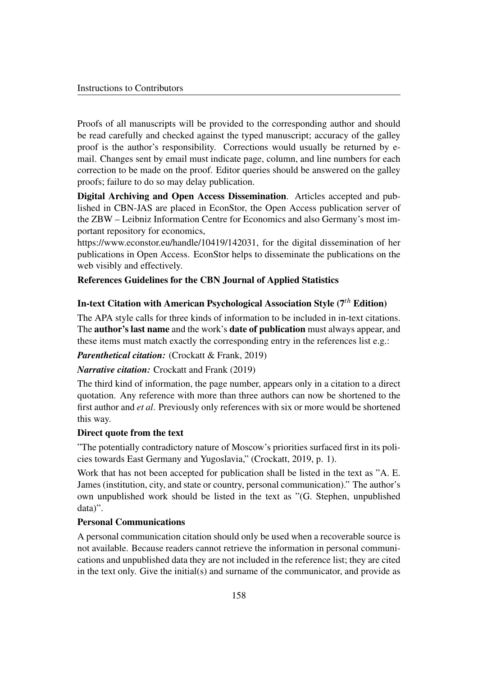Proofs of all manuscripts will be provided to the corresponding author and should be read carefully and checked against the typed manuscript; accuracy of the galley proof is the author's responsibility. Corrections would usually be returned by email. Changes sent by email must indicate page, column, and line numbers for each correction to be made on the proof. Editor queries should be answered on the galley proofs; failure to do so may delay publication.

Digital Archiving and Open Access Dissemination. Articles accepted and published in CBN-JAS are placed in EconStor, the Open Access publication server of the ZBW – Leibniz Information Centre for Economics and also Germany's most important repository for economics,

https://www.econstor.eu/handle/10419/142031, for the digital dissemination of her publications in Open Access. EconStor helps to disseminate the publications on the web visibly and effectively.

## References Guidelines for the CBN Journal of Applied Statistics

# In-text Citation with American Psychological Association Style (7*th* Edition)

The APA style calls for three kinds of information to be included in in-text citations. The author's last name and the work's date of publication must always appear, and these items must match exactly the corresponding entry in the references list e.g.:

#### *Parenthetical citation:* (Crockatt & Frank, 2019)

#### *Narrative citation:* Crockatt and Frank (2019)

The third kind of information, the page number, appears only in a citation to a direct quotation. Any reference with more than three authors can now be shortened to the first author and *et al*. Previously only references with six or more would be shortened this way.

#### Direct quote from the text

"The potentially contradictory nature of Moscow's priorities surfaced first in its policies towards East Germany and Yugoslavia," (Crockatt, 2019, p. 1).

Work that has not been accepted for publication shall be listed in the text as "A. E. James (institution, city, and state or country, personal communication)." The author's own unpublished work should be listed in the text as "(G. Stephen, unpublished data)".

## Personal Communications

A personal communication citation should only be used when a recoverable source is not available. Because readers cannot retrieve the information in personal communications and unpublished data they are not included in the reference list; they are cited in the text only. Give the initial(s) and surname of the communicator, and provide as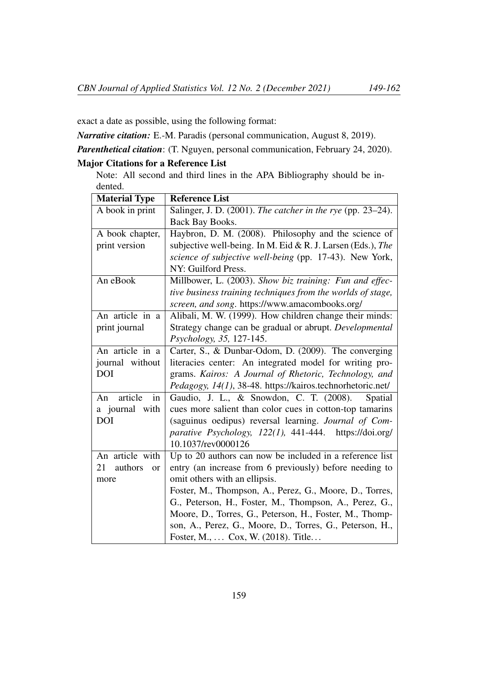exact a date as possible, using the following format:

*Narrative citation:* E.-M. Paradis (personal communication, August 8, 2019).

*Parenthetical citation*: (T. Nguyen, personal communication, February 24, 2020).

# Major Citations for a Reference List

Note: All second and third lines in the APA Bibliography should be indented.

| <b>Material Type</b>       | <b>Reference List</b>                                       |
|----------------------------|-------------------------------------------------------------|
| A book in print            | Salinger, J. D. (2001). The catcher in the rye (pp. 23–24). |
|                            | Back Bay Books.                                             |
| A book chapter,            | Haybron, D. M. (2008). Philosophy and the science of        |
| print version              | subjective well-being. In M. Eid & R. J. Larsen (Eds.), The |
|                            | science of subjective well-being (pp. 17-43). New York,     |
|                            | NY: Guilford Press.                                         |
| An eBook                   | Millbower, L. (2003). Show biz training: Fun and effec-     |
|                            | tive business training techniques from the worlds of stage, |
|                            | screen, and song. https://www.amacombooks.org/              |
| An article in a            | Alibali, M. W. (1999). How children change their minds:     |
| print journal              | Strategy change can be gradual or abrupt. Developmental     |
|                            | Psychology, 35, 127-145.                                    |
| An article in a            | Carter, S., & Dunbar-Odom, D. (2009). The converging        |
| journal without            | literacies center: An integrated model for writing pro-     |
| <b>DOI</b>                 | grams. Kairos: A Journal of Rhetoric, Technology, and       |
|                            | Pedagogy, 14(1), 38-48. https://kairos.technorhetoric.net/  |
| article<br>in<br>An        | Gaudio, J. L., & Snowdon, C. T. (2008).<br>Spatial          |
| a journal with             | cues more salient than color cues in cotton-top tamarins    |
| <b>DOI</b>                 | (saguinus oedipus) reversal learning. Journal of Com-       |
|                            | parative Psychology, 122(1), 441-444. https://doi.org/      |
|                            | 10.1037/rev0000126                                          |
| An article with            | Up to 20 authors can now be included in a reference list    |
| authors<br>21<br><b>or</b> | entry (an increase from 6 previously) before needing to     |
| more                       | omit others with an ellipsis.                               |
|                            | Foster, M., Thompson, A., Perez, G., Moore, D., Torres,     |
|                            | G., Peterson, H., Foster, M., Thompson, A., Perez, G.,      |
|                            | Moore, D., Torres, G., Peterson, H., Foster, M., Thomp-     |
|                            | son, A., Perez, G., Moore, D., Torres, G., Peterson, H.,    |
|                            | Foster, M.,  Cox, W. (2018). Title                          |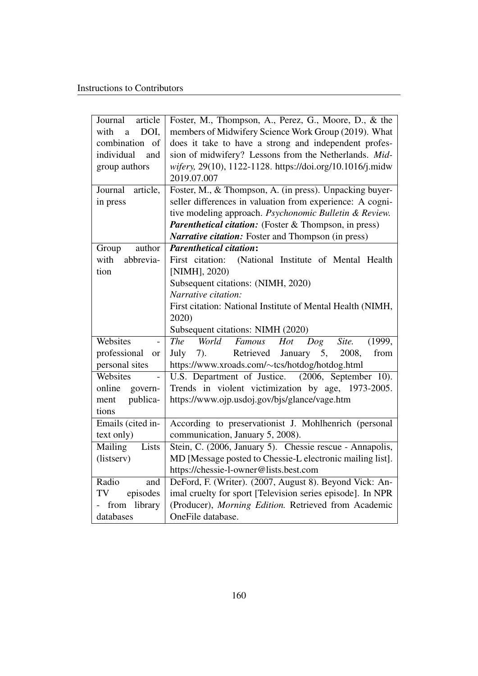| article<br>Journal                   | Foster, M., Thompson, A., Perez, G., Moore, D., & the             |
|--------------------------------------|-------------------------------------------------------------------|
| DOI,<br>with<br>a                    | members of Midwifery Science Work Group (2019). What              |
| combination of                       | does it take to have a strong and independent profes-             |
| individual<br>and                    | sion of midwifery? Lessons from the Netherlands. Mid-             |
| group authors                        | wifery, 29(10), 1122-1128. https://doi.org/10.1016/j.midw         |
|                                      | 2019.07.007                                                       |
| Journal<br>article,                  | Foster, M., & Thompson, A. (in press). Unpacking buyer-           |
| in press                             | seller differences in valuation from experience: A cogni-         |
|                                      | tive modeling approach. Psychonomic Bulletin & Review.            |
|                                      | <b>Parenthetical citation:</b> (Foster & Thompson, in press)      |
|                                      | Narrative citation: Foster and Thompson (in press)                |
| author<br>Group                      | <b>Parenthetical citation:</b>                                    |
| abbrevia-<br>with                    | (National Institute of Mental Health<br>First citation:           |
| tion                                 | [NIMH], 2020)                                                     |
|                                      | Subsequent citations: (NIMH, 2020)                                |
|                                      | Narrative citation:                                               |
|                                      | First citation: National Institute of Mental Health (NIMH,        |
|                                      | 2020)                                                             |
|                                      | Subsequent citations: NIMH (2020)                                 |
| Websites                             | World<br>$F$ amous<br><b>The</b><br>Hot<br>Dog<br>Site.<br>(1999, |
| professional<br><b>or</b>            | Retrieved<br>January 5,<br>July<br>2008,<br>from<br>$(7)$ .       |
| personal sites                       | https://www.xroads.com/~tcs/hotdog/hotdog.html                    |
| Websites<br>$\overline{\phantom{a}}$ | U.S. Department of Justice. (2006, September 10).                 |
| online<br>govern-                    | Trends in violent victimization by age, 1973-2005.                |
| publica-<br>ment                     | https://www.ojp.usdoj.gov/bjs/glance/vage.htm                     |
| tions                                |                                                                   |
| Emails (cited in-                    | According to preservationist J. Mohlhenrich (personal             |
| text only)                           | communication, January 5, 2008).                                  |
| Lists<br>Mailing                     | Stein, C. (2006, January 5). Chessie rescue - Annapolis,          |
| (listserv)                           | MD [Message posted to Chessie-L electronic mailing list].         |
|                                      | https://chessie-l-owner@lists.best.com                            |
| Radio<br>and                         | DeFord, F. (Writer). (2007, August 8). Beyond Vick: An-           |
| TV<br>episodes                       | imal cruelty for sport [Television series episode]. In NPR        |
| library<br>from                      | (Producer), Morning Edition. Retrieved from Academic              |
| databases                            | OneFile database.                                                 |
|                                      |                                                                   |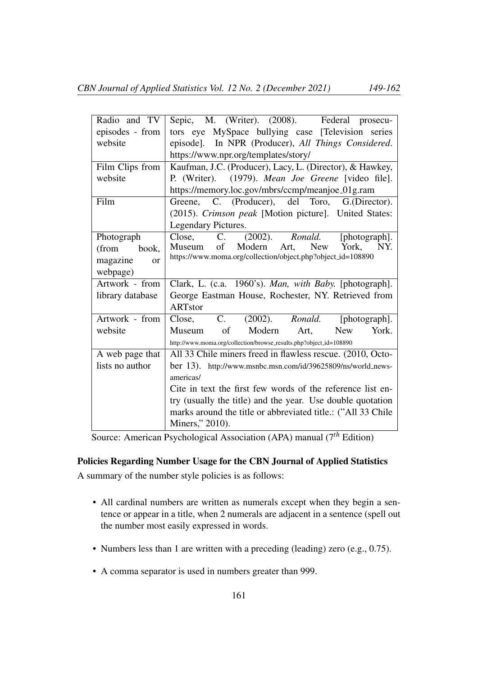| Radio and TV     | Sepic, M. (Writer). (2008). Federal prosecu-                       |
|------------------|--------------------------------------------------------------------|
| episodes - from  | tors eye MySpace bullying case [Television series                  |
| website          | episode]. In NPR (Producer), All Things Considered.                |
|                  | https://www.npr.org/templates/story/                               |
| Film Clips from  | Kaufman, J.C. (Producer), Lacy, L. (Director), & Hawkey,           |
| website          | P. (Writer). (1979). Mean Joe Greene [video file].                 |
|                  | https://memory.loc.gov/mbrs/ccmp/meanjoe_01g.ram                   |
| Film             | Greene, C. (Producer), del Toro, G.(Director).                     |
|                  | (2015). Crimson peak [Motion picture]. United States:              |
|                  | Legendary Pictures.                                                |
| Photograph       | C. (2002). Ronald.<br>Close,<br>[photograph].                      |
| book,<br>(from   | of Modern<br>New<br>York,<br>Art,<br>NY.<br>Museum                 |
| magazine<br>or   | https://www.moma.org/collection/object.php?object_id=108890        |
| webpage)         |                                                                    |
| Artwork - from   | Clark, L. (c.a. 1960's). Man, with Baby. [photograph].             |
| library database | George Eastman House, Rochester, NY. Retrieved from                |
|                  | <b>ARTstor</b>                                                     |
| Artwork - from   | C. (2002). Ronald. [photograph].<br>Close,                         |
| website          | of<br>Modern<br>York.<br>Art,<br><b>New</b><br>Museum              |
|                  | http://www.moma.org/collection/browse_results.php?object_id=108890 |
| A web page that  | All 33 Chile miners freed in flawless rescue. (2010, Octo-         |
| lists no author  | ber 13). http://www.msnbc.msn.com/id/39625809/ns/world_news-       |
|                  | americas/                                                          |
|                  | Cite in text the first few words of the reference list en-         |
|                  | try (usually the title) and the year. Use double quotation         |
|                  | marks around the title or abbreviated title.: ("All 33 Chile       |
|                  | Miners," 2010).                                                    |

Source: American Psychological Association (APA) manual (7*th* Edition)

# Policies Regarding Number Usage for the CBN Journal of Applied Statistics

A summary of the number style policies is as follows:

- All cardinal numbers are written as numerals except when they begin a sentence or appear in a title, when 2 numerals are adjacent in a sentence (spell out the number most easily expressed in words.
- Numbers less than 1 are written with a preceding (leading) zero (e.g., 0.75).
- A comma separator is used in numbers greater than 999.